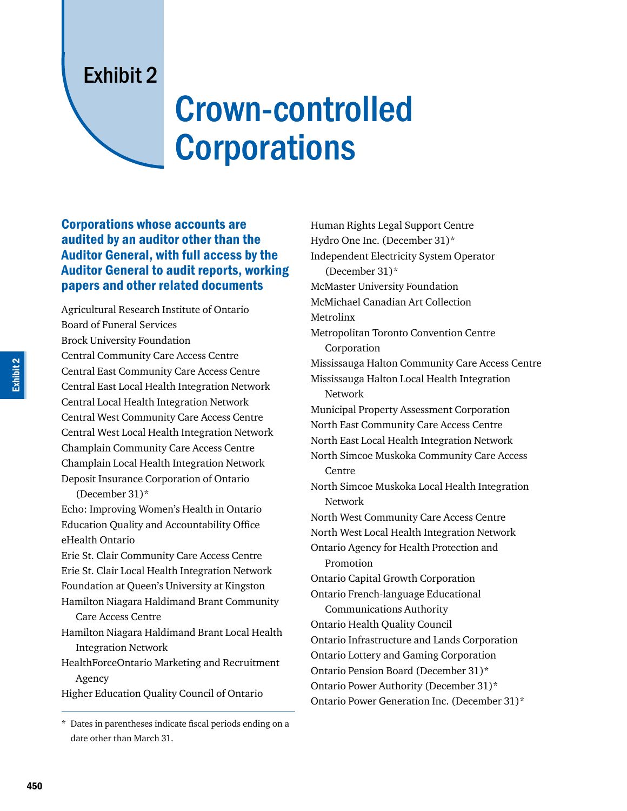## Exhibit 2

## Crown-controlled **Corporations**

## Corporations whose accounts are audited by an auditor other than the Auditor General, with full access by the Auditor General to audit reports, working papers and other related documents

Agricultural Research Institute of Ontario Board of Funeral Services Brock University Foundation Central Community Care Access Centre Central East Community Care Access Centre Central East Local Health Integration Network Central Local Health Integration Network Central West Community Care Access Centre Central West Local Health Integration Network Champlain Community Care Access Centre Champlain Local Health Integration Network Deposit Insurance Corporation of Ontario (December 31)\*

Echo: Improving Women's Health in Ontario Education Quality and Accountability Office eHealth Ontario

Erie St. Clair Community Care Access Centre Erie St. Clair Local Health Integration Network Foundation at Queen's University at Kingston Hamilton Niagara Haldimand Brant Community

Care Access Centre

Hamilton Niagara Haldimand Brant Local Health Integration Network

HealthForceOntario Marketing and Recruitment Agency

Higher Education Quality Council of Ontario

Human Rights Legal Support Centre Hydro One Inc. (December 31)\* Independent Electricity System Operator (December 31)\* McMaster University Foundation McMichael Canadian Art Collection Metrolinx Metropolitan Toronto Convention Centre Corporation Mississauga Halton Community Care Access Centre Mississauga Halton Local Health Integration Network Municipal Property Assessment Corporation North East Community Care Access Centre North East Local Health Integration Network North Simcoe Muskoka Community Care Access Centre North Simcoe Muskoka Local Health Integration Network North West Community Care Access Centre North West Local Health Integration Network Ontario Agency for Health Protection and Promotion Ontario Capital Growth Corporation Ontario French-language Educational Communications Authority Ontario Health Quality Council Ontario Infrastructure and Lands Corporation Ontario Lottery and Gaming Corporation Ontario Pension Board (December 31)\* Ontario Power Authority (December 31)\* Ontario Power Generation Inc. (December 31)\*

<sup>\*</sup> Dates in parentheses indicate fiscal periods ending on a date other than March 31.